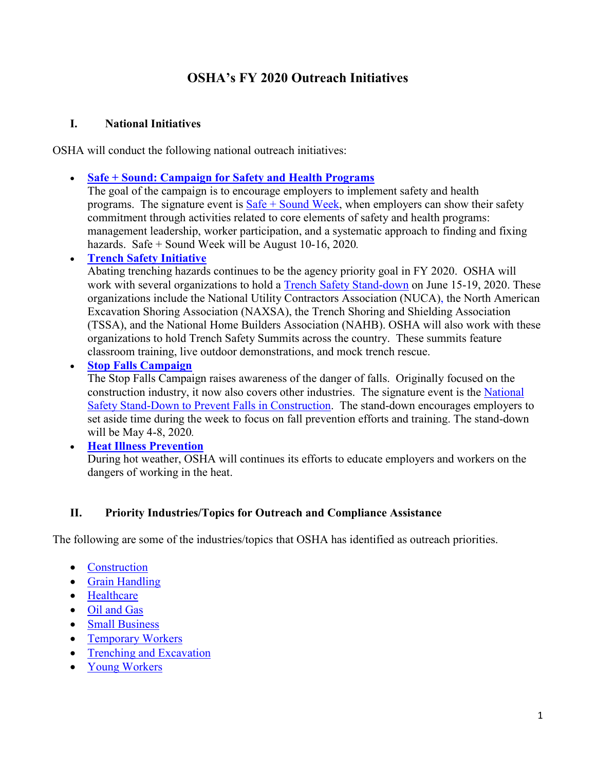# **OSHA's FY 2020 Outreach Initiatives**

#### **I. National Initiatives**

OSHA will conduct the following national outreach initiatives:

• **[Safe + Sound: Campaign for Safety and Health Programs](https://www.osha.gov/safeandsound/)**

The goal of the campaign is to encourage employers to implement safety and health programs. The signature event is  $S = 5$  and Week, when employers can show their safety commitment through activities related to core elements of safety and health programs: management leadership, worker participation, and a systematic approach to finding and fixing hazards. Safe + Sound Week will be August 10-16, 2020*.*

## • **[Trench Safety Initiative](https://www.osha.gov/SLTC/trenchingexcavation/)**

Abating trenching hazards continues to be the agency priority goal in FY 2020. OSHA will work with several organizations to hold a [Trench Safety Stand-down](https://www.nuca.com/tssd) on June 15-19, 2020. These organizations include the National Utility Contractors Association (NUCA), the North American Excavation Shoring Association (NAXSA), the Trench Shoring and Shielding Association (TSSA), and the National Home Builders Association (NAHB). OSHA will also work with these organizations to hold Trench Safety Summits across the country. These summits feature classroom training, live outdoor demonstrations, and mock trench rescue.

• **[Stop Falls Campaign](https://www.osha.gov/stopfalls/index.html)**

The Stop Falls Campaign raises awareness of the danger of falls. Originally focused on the construction industry, it now also covers other industries. The signature event is the [National](https://www.osha.gov/StopFallsStandDown/)  [Safety Stand-Down to Prevent Falls in Construction.](https://www.osha.gov/StopFallsStandDown/) The stand-down encourages employers to set aside time during the week to focus on fall prevention efforts and training. The stand-down will be May 4-8, 2020*.*

• **[Heat Illness Prevention](http://www.osha.gov/heat)** During hot weather, OSHA will continues its efforts to educate employers and workers on the dangers of working in the heat.

## **II. Priority Industries/Topics for Outreach and Compliance Assistance**

The following are some of the industries/topics that OSHA has identified as outreach priorities.

- [Construction](https://www.osha.gov/doc/)
- [Grain Handling](https://www.osha.gov/SLTC/grainhandling/index.html)
- [Healthcare](https://www.osha.gov/SLTC/healthcarefacilities/index.html)
- [Oil and](https://www.osha.gov/SLTC/oilgaswelldrilling/index.html) Gas
- [Small Business](https://www.osha.gov/smallbusiness)
- [Temporary Workers](https://www.osha.gov/temporaryworkers)
- [Trenching and Excavation](https://www.osha.gov/SLTC/trenchingexcavation/index.html)
- [Young Workers](https://www.osha.gov/youngworkers/index.html)